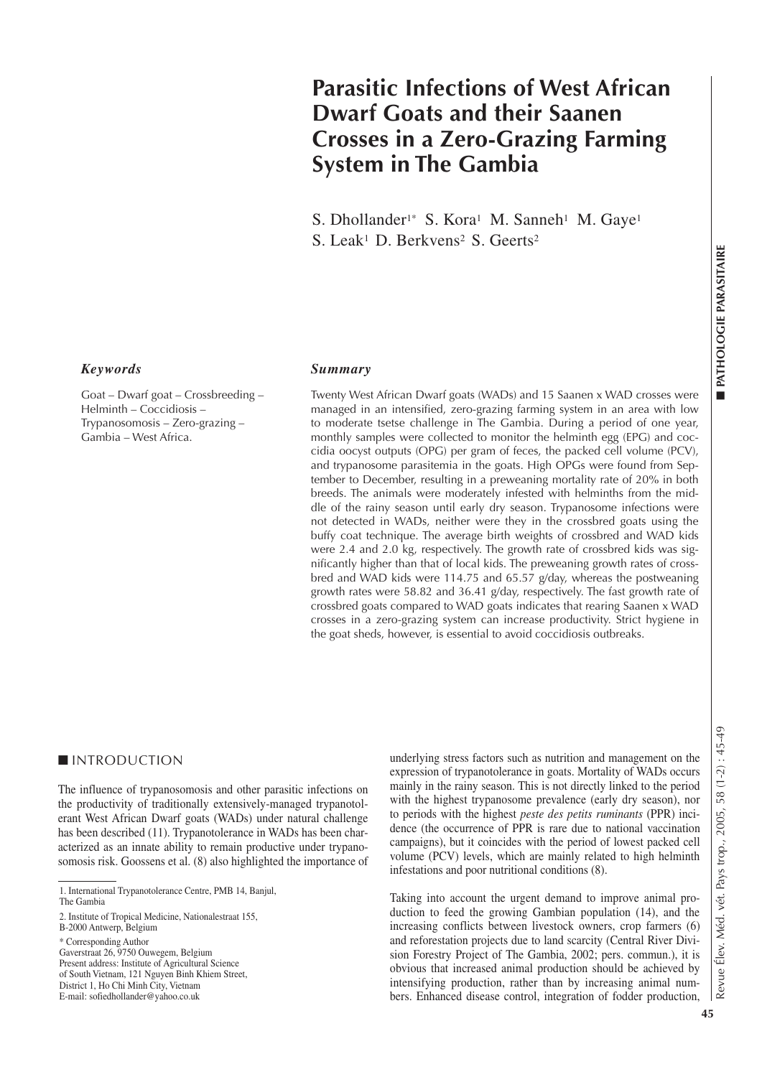# **Parasitic Infections of West African Dwarf Goats and their Saanen Crosses in a Zero-Grazing Farming System in The Gambia**

S. Dhollander<sup>1\*</sup> S. Kora<sup>1</sup> M. Sanneh<sup>1</sup> M. Gaye<sup>1</sup> S. Leak<sup>1</sup> D. Berkvens<sup>2</sup> S. Geerts<sup>2</sup>

#### *Keywords*

Goat – Dwarf goat – Crossbreeding – Helminth – Coccidiosis – Trypanosomosis – Zero-grazing – Gambia – West Africa.

#### *Summary*

Twenty West African Dwarf goats (WADs) and 15 Saanen x WAD crosses were managed in an intensified, zero-grazing farming system in an area with low to moderate tsetse challenge in The Gambia. During a period of one year, monthly samples were collected to monitor the helminth egg (EPG) and coccidia oocyst outputs (OPG) per gram of feces, the packed cell volume (PCV), and trypanosome parasitemia in the goats. High OPGs were found from September to December, resulting in a preweaning mortality rate of 20% in both breeds. The animals were moderately infested with helminths from the middle of the rainy season until early dry season. Trypanosome infections were not detected in WADs, neither were they in the crossbred goats using the buffy coat technique. The average birth weights of crossbred and WAD kids were 2.4 and 2.0 kg, respectively. The growth rate of crossbred kids was significantly higher than that of local kids. The preweaning growth rates of crossbred and WAD kids were 114.75 and 65.57 g/day, whereas the postweaning growth rates were 58.82 and 36.41 g/day, respectively. The fast growth rate of crossbred goats compared to WAD goats indicates that rearing Saanen x WAD crosses in a zero-grazing system can increase productivity. Strict hygiene in the goat sheds, however, is essential to avoid coccidiosis outbreaks.

### ■ **INTRODUCTION**

The influence of trypanosomosis and other parasitic infections on the productivity of traditionally extensively-managed trypanotolerant West African Dwarf goats (WADs) under natural challenge has been described (11). Trypanotolerance in WADs has been characterized as an innate ability to remain productive under trypanosomosis risk. Goossens et al. (8) also highlighted the importance of

\* Corresponding Author Gaverstraat 26, 9750 Ouwegem, Belgium Present address: Institute of Agricultural Science of South Vietnam, 121 Nguyen Binh Khiem Street, District 1, Ho Chi Minh City, Vietnam E-mail: sofiedhollander@yahoo.co.uk

underlying stress factors such as nutrition and management on the expression of trypanotolerance in goats. Mortality of WADs occurs mainly in the rainy season. This is not directly linked to the period with the highest trypanosome prevalence (early dry season), nor to periods with the highest *peste des petits ruminants* (PPR) incidence (the occurrence of PPR is rare due to national vaccination campaigns), but it coincides with the period of lowest packed cell volume (PCV) levels, which are mainly related to high helminth infestations and poor nutritional conditions (8).

Taking into account the urgent demand to improve animal production to feed the growing Gambian population (14), and the increasing conflicts between livestock owners, crop farmers (6) and reforestation projects due to land scarcity (Central River Division Forestry Project of The Gambia, 2002; pers. commun.), it is obvious that increased animal production should be achieved by intensifying production, rather than by increasing animal numbers. Enhanced disease control, integration of fodder production,

<sup>1.</sup> International Trypanotolerance Centre, PMB 14, Banjul,

The Gambia

<sup>2.</sup> Institute of Tropical Medicine, Nationalestraat 155, B-2000 Antwerp, Belgium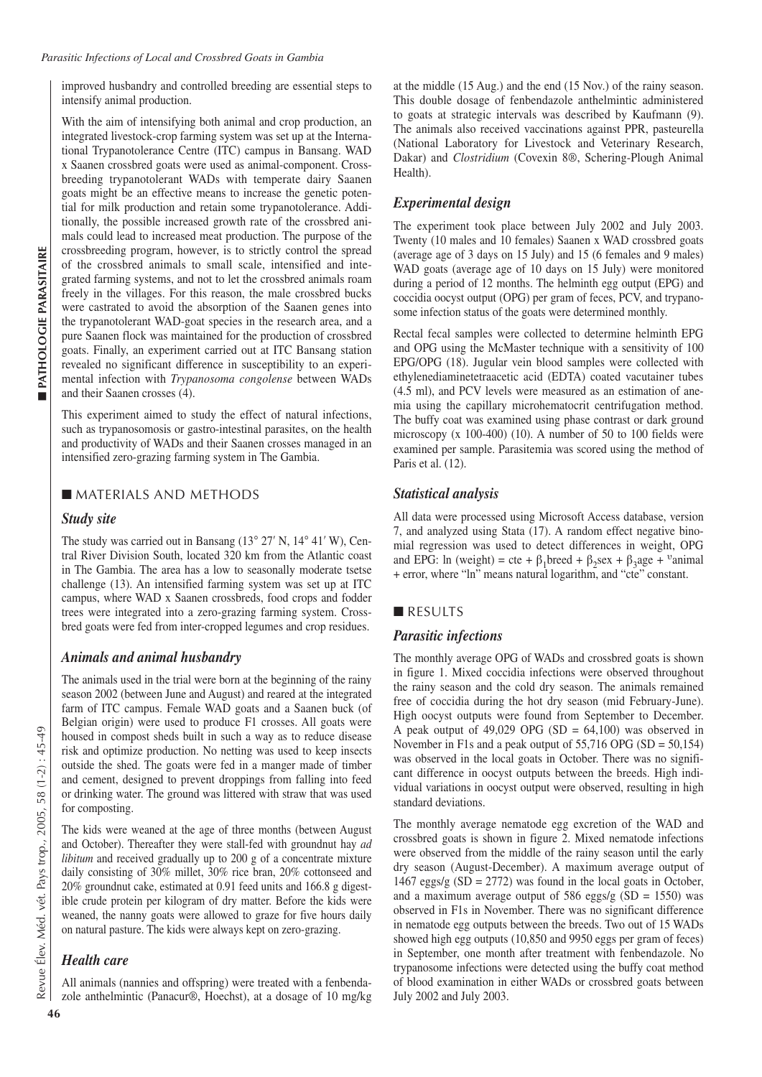improved husbandry and controlled breeding are essential steps to intensify animal production.

With the aim of intensifying both animal and crop production, an integrated livestock-crop farming system was set up at the International Trypanotolerance Centre (ITC) campus in Bansang. WAD x Saanen crossbred goats were used as animal-component. Crossbreeding trypanotolerant WADs with temperate dairy Saanen goats might be an effective means to increase the genetic potential for milk production and retain some trypanotolerance. Additionally, the possible increased growth rate of the crossbred animals could lead to increased meat production. The purpose of the crossbreeding program, however, is to strictly control the spread of the crossbred animals to small scale, intensified and integrated farming systems, and not to let the crossbred animals roam freely in the villages. For this reason, the male crossbred bucks were castrated to avoid the absorption of the Saanen genes into the trypanotolerant WAD-goat species in the research area, and a pure Saanen flock was maintained for the production of crossbred goats. Finally, an experiment carried out at ITC Bansang station revealed no significant difference in susceptibility to an experimental infection with *Trypanosoma congolense* between WADs and their Saanen crosses (4).

This experiment aimed to study the effect of natural infections, such as trypanosomosis or gastro-intestinal parasites, on the health and productivity of WADs and their Saanen crosses managed in an intensified zero-grazing farming system in The Gambia.

### ■ MATERIALS AND METHODS

### *Study site*

The study was carried out in Bansang (13° 27′ N, 14° 41′ W), Central River Division South, located 320 km from the Atlantic coast in The Gambia. The area has a low to seasonally moderate tsetse challenge (13). An intensified farming system was set up at ITC campus, where WAD x Saanen crossbreds, food crops and fodder trees were integrated into a zero-grazing farming system. Crossbred goats were fed from inter-cropped legumes and crop residues.

# *Animals and animal husbandry*

The animals used in the trial were born at the beginning of the rainy season 2002 (between June and August) and reared at the integrated farm of ITC campus. Female WAD goats and a Saanen buck (of Belgian origin) were used to produce F1 crosses. All goats were housed in compost sheds built in such a way as to reduce disease risk and optimize production. No netting was used to keep insects outside the shed. The goats were fed in a manger made of timber and cement, designed to prevent droppings from falling into feed or drinking water. The ground was littered with straw that was used for composting.

The kids were weaned at the age of three months (between August and October). Thereafter they were stall-fed with groundnut hay *ad libitum* and received gradually up to 200 g of a concentrate mixture daily consisting of 30% millet, 30% rice bran, 20% cottonseed and 20% groundnut cake, estimated at 0.91 feed units and 166.8 g digestible crude protein per kilogram of dry matter. Before the kids were weaned, the nanny goats were allowed to graze for five hours daily on natural pasture. The kids were always kept on zero-grazing.

# *Health care*

All animals (nannies and offspring) were treated with a fenbendazole anthelmintic (Panacur®, Hoechst), at a dosage of 10 mg/kg

at the middle (15 Aug.) and the end (15 Nov.) of the rainy season. This double dosage of fenbendazole anthelmintic administered to goats at strategic intervals was described by Kaufmann (9). The animals also received vaccinations against PPR, pasteurella (National Laboratory for Livestock and Veterinary Research, Dakar) and *Clostridium* (Covexin 8®, Schering-Plough Animal Health).

# *Experimental design*

The experiment took place between July 2002 and July 2003. Twenty (10 males and 10 females) Saanen x WAD crossbred goats (average age of 3 days on 15 July) and 15 (6 females and 9 males) WAD goats (average age of 10 days on 15 July) were monitored during a period of 12 months. The helminth egg output (EPG) and coccidia oocyst output (OPG) per gram of feces, PCV, and trypanosome infection status of the goats were determined monthly.

Rectal fecal samples were collected to determine helminth EPG and OPG using the McMaster technique with a sensitivity of 100 EPG/OPG (18). Jugular vein blood samples were collected with ethylenediaminetetraacetic acid (EDTA) coated vacutainer tubes (4.5 ml), and PCV levels were measured as an estimation of anemia using the capillary microhematocrit centrifugation method. The buffy coat was examined using phase contrast or dark ground microscopy (x 100-400) (10). A number of 50 to 100 fields were examined per sample. Parasitemia was scored using the method of Paris et al. (12).

### *Statistical analysis*

All data were processed using Microsoft Access database, version 7, and analyzed using Stata (17). A random effect negative binomial regression was used to detect differences in weight, OPG and EPG: ln (weight) = cte +  $\beta_1$ breed +  $\beta_2$ sex +  $\beta_3$ age + <sup>v</sup>animal + error, where "ln" means natural logarithm, and "cte" constant.

### ■ RESULTS

# *Parasitic infections*

The monthly average OPG of WADs and crossbred goats is shown in figure 1. Mixed coccidia infections were observed throughout the rainy season and the cold dry season. The animals remained free of coccidia during the hot dry season (mid February-June). High oocyst outputs were found from September to December. A peak output of 49,029 OPG  $(SD = 64,100)$  was observed in November in F1s and a peak output of 55,716 OPG (SD = 50,154) was observed in the local goats in October. There was no significant difference in oocyst outputs between the breeds. High individual variations in oocyst output were observed, resulting in high standard deviations.

The monthly average nematode egg excretion of the WAD and crossbred goats is shown in figure 2. Mixed nematode infections were observed from the middle of the rainy season until the early dry season (August-December). A maximum average output of 1467 eggs/g  $(SD = 2772)$  was found in the local goats in October, and a maximum average output of 586 eggs/g  $(SD = 1550)$  was observed in F1s in November. There was no significant difference in nematode egg outputs between the breeds. Two out of 15 WADs showed high egg outputs (10,850 and 9950 eggs per gram of feces) in September, one month after treatment with fenbendazole. No trypanosome infections were detected using the buffy coat method of blood examination in either WADs or crossbred goats between July 2002 and July 2003.

Revue Élev. Méd. vét. Pays trop., 2005, 58 (1-2) : 45-49

Pays trop.,

Revue Élev. Méd. vét.

2005, 58 (1-2): 45-49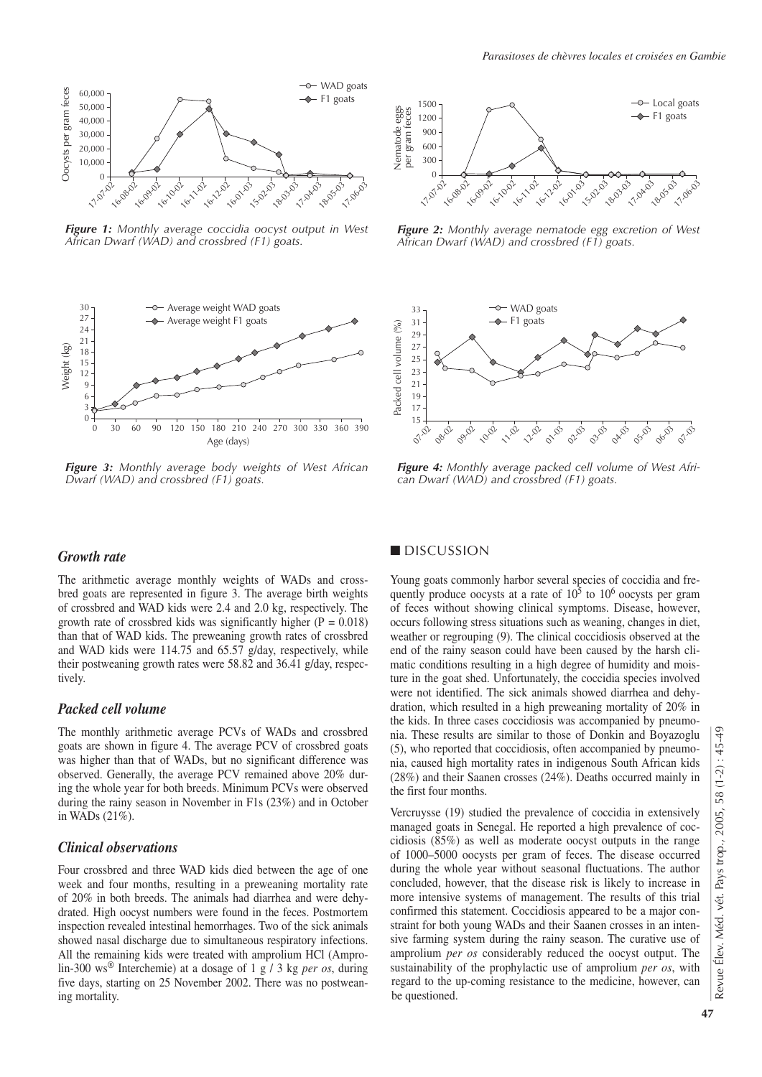

Figure 1: Monthly average coccidia oocyst output in West African Dwarf (WAD) and crossbred (F1) goats.



Figure 3: Monthly average body weights of West African Dwarf (WAD) and crossbred  $(F1)$  goats.



Parasitoses de chèvres locales et croisées en Gambie

Figure 2: Monthly average nematode egg excretion of West African Dwarf (WAD) and crossbred (F1) goats.



Figure 4: Monthly average packed cell volume of West African Dwarf (WAD) and crossbred (F1) goats.

### **Growth** rate

The arithmetic average monthly weights of WADs and crossbred goats are represented in figure 3. The average birth weights of crossbred and WAD kids were 2.4 and 2.0 kg, respectively. The growth rate of crossbred kids was significantly higher ( $P = 0.018$ ) than that of WAD kids. The preweaning growth rates of crossbred and WAD kids were 114.75 and 65.57 g/day, respectively, while their postweaning growth rates were 58.82 and 36.41 g/day, respectively.

### Packed cell volume

The monthly arithmetic average PCVs of WADs and crossbred goats are shown in figure 4. The average PCV of crossbred goats was higher than that of WADs, but no significant difference was observed. Generally, the average PCV remained above 20% during the whole year for both breeds. Minimum PCVs were observed during the rainy season in November in F1s (23%) and in October in WADs  $(21\%)$ .

#### **Clinical observations**

Four crossbred and three WAD kids died between the age of one week and four months, resulting in a preweaning mortality rate of 20% in both breeds. The animals had diarrhea and were dehydrated. High oocyst numbers were found in the feces. Postmortem inspection revealed intestinal hemorrhages. Two of the sick animals showed nasal discharge due to simultaneous respiratory infections. All the remaining kids were treated with amprolium HCl (Amprolin-300 ws<sup>®</sup> Interchemie) at a dosage of 1 g / 3 kg per os, during five days, starting on 25 November 2002. There was no postweaning mortality.

#### **DISCUSSION**

Young goats commonly harbor several species of coccidia and frequently produce oocysts at a rate of  $10^5$  to  $10^6$  oocysts per gram of feces without showing clinical symptoms. Disease, however, occurs following stress situations such as weaning, changes in diet, weather or regrouping (9). The clinical coccidiosis observed at the end of the rainy season could have been caused by the harsh climatic conditions resulting in a high degree of humidity and moisture in the goat shed. Unfortunately, the coccidia species involved were not identified. The sick animals showed diarrhea and dehydration, which resulted in a high preweaning mortality of 20% in the kids. In three cases coccidiosis was accompanied by pneumonia. These results are similar to those of Donkin and Boyazoglu (5), who reported that coccidiosis, often accompanied by pneumonia, caused high mortality rates in indigenous South African kids  $(28%)$  and their Saanen crosses  $(24%)$ . Deaths occurred mainly in the first four months.

Vercruysse (19) studied the prevalence of coccidia in extensively managed goats in Senegal. He reported a high prevalence of coccidiosis  $(85\%)$  as well as moderate oocyst outputs in the range of 1000-5000 oocysts per gram of feces. The disease occurred during the whole year without seasonal fluctuations. The author concluded, however, that the disease risk is likely to increase in more intensive systems of management. The results of this trial confirmed this statement. Coccidiosis appeared to be a major constraint for both young WADs and their Saanen crosses in an intensive farming system during the rainy season. The curative use of amprolium *per os* considerably reduced the oocyst output. The sustainability of the prophylactic use of amprolium *per os*, with regard to the up-coming resistance to the medicine, however, can be questioned.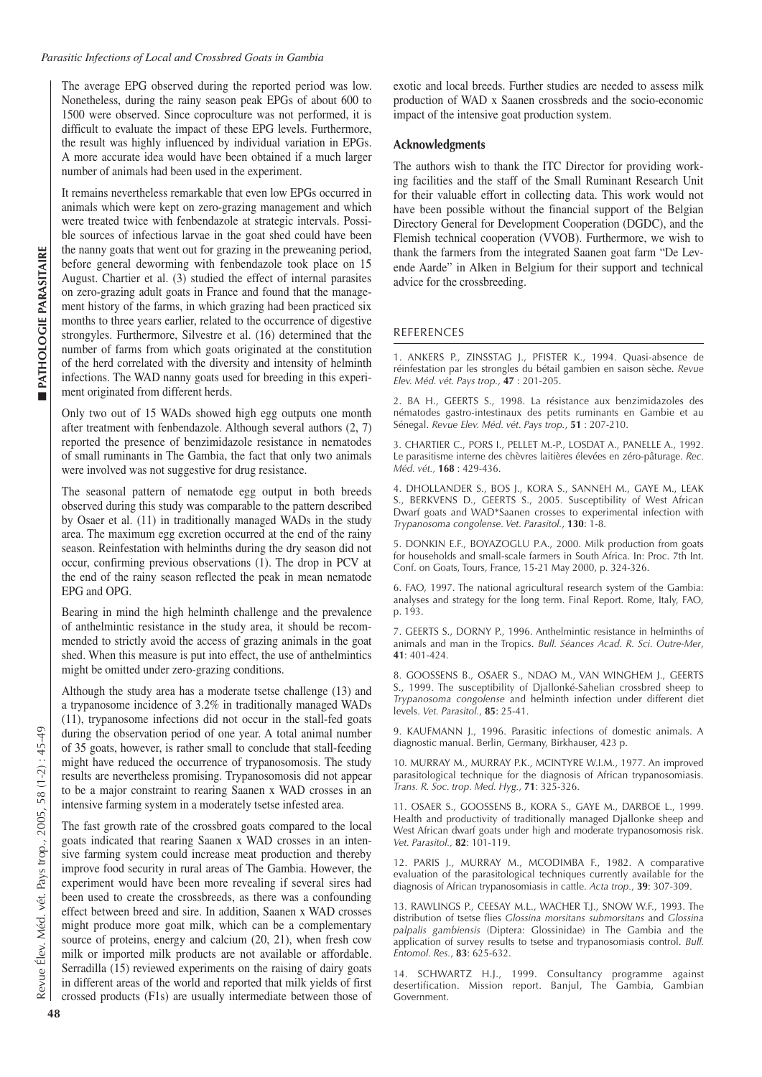#### *Parasitic Infections of Local and Crossbred Goats in Gambia*

The average EPG observed during the reported period was low. Nonetheless, during the rainy season peak EPGs of about 600 to 1500 were observed. Since coproculture was not performed, it is difficult to evaluate the impact of these EPG levels. Furthermore, the result was highly influenced by individual variation in EPGs. A more accurate idea would have been obtained if a much larger number of animals had been used in the experiment.

It remains nevertheless remarkable that even low EPGs occurred in animals which were kept on zero-grazing management and which were treated twice with fenbendazole at strategic intervals. Possible sources of infectious larvae in the goat shed could have been the nanny goats that went out for grazing in the preweaning period, before general deworming with fenbendazole took place on 15 August. Chartier et al. (3) studied the effect of internal parasites on zero-grazing adult goats in France and found that the management history of the farms, in which grazing had been practiced six months to three years earlier, related to the occurrence of digestive strongyles. Furthermore, Silvestre et al. (16) determined that the number of farms from which goats originated at the constitution of the herd correlated with the diversity and intensity of helminth infections. The WAD nanny goats used for breeding in this experiment originated from different herds.

Only two out of 15 WADs showed high egg outputs one month after treatment with fenbendazole. Although several authors (2, 7) reported the presence of benzimidazole resistance in nematodes of small ruminants in The Gambia, the fact that only two animals were involved was not suggestive for drug resistance.

The seasonal pattern of nematode egg output in both breeds observed during this study was comparable to the pattern described by Osaer et al. (11) in traditionally managed WADs in the study area. The maximum egg excretion occurred at the end of the rainy season. Reinfestation with helminths during the dry season did not occur, confirming previous observations (1). The drop in PCV at the end of the rainy season reflected the peak in mean nematode EPG and OPG.

Bearing in mind the high helminth challenge and the prevalence of anthelmintic resistance in the study area, it should be recommended to strictly avoid the access of grazing animals in the goat shed. When this measure is put into effect, the use of anthelmintics might be omitted under zero-grazing conditions.

Although the study area has a moderate tsetse challenge (13) and a trypanosome incidence of 3.2% in traditionally managed WADs (11), trypanosome infections did not occur in the stall-fed goats during the observation period of one year. A total animal number of 35 goats, however, is rather small to conclude that stall-feeding might have reduced the occurrence of trypanosomosis. The study results are nevertheless promising. Trypanosomosis did not appear to be a major constraint to rearing Saanen x WAD crosses in an intensive farming system in a moderately tsetse infested area.

The fast growth rate of the crossbred goats compared to the local goats indicated that rearing Saanen x WAD crosses in an intensive farming system could increase meat production and thereby improve food security in rural areas of The Gambia. However, the experiment would have been more revealing if several sires had been used to create the crossbreeds, as there was a confounding effect between breed and sire. In addition, Saanen x WAD crosses might produce more goat milk, which can be a complementary source of proteins, energy and calcium (20, 21), when fresh cow milk or imported milk products are not available or affordable. Serradilla (15) reviewed experiments on the raising of dairy goats in different areas of the world and reported that milk yields of first crossed products (F1s) are usually intermediate between those of exotic and local breeds. Further studies are needed to assess milk production of WAD x Saanen crossbreds and the socio-economic impact of the intensive goat production system.

#### **Acknowledgments**

The authors wish to thank the ITC Director for providing working facilities and the staff of the Small Ruminant Research Unit for their valuable effort in collecting data. This work would not have been possible without the financial support of the Belgian Directory General for Development Cooperation (DGDC), and the Flemish technical cooperation (VVOB). Furthermore, we wish to thank the farmers from the integrated Saanen goat farm "De Levende Aarde" in Alken in Belgium for their support and technical advice for the crossbreeding.

#### **REFERENCES**

1. ANKERS P., ZINSSTAG J., PFISTER K., 1994. Quasi-absence de réinfestation par les strongles du bétail gambien en saison sèche. *Revue Elev. Méd. vét. Pays trop.*, **47** : 201-205.

2. BA H., GEERTS S., 1998. La résistance aux benzimidazoles des nématodes gastro-intestinaux des petits ruminants en Gambie et au Sénegal. *Revue Elev. Méd. vét. Pays trop.*, **51** : 207-210.

3. CHARTIER C., PORS I., PELLET M.-P., LOSDAT A., PANELLE A., 1992. Le parasitisme interne des chèvres laitières élevées en zéro-pâturage. *Rec. Méd. vét.,* **168** : 429-436.

4. DHOLLANDER S., BOS J., KORA S., SANNEH M., GAYE M., LEAK S., BERKVENS D., GEERTS S., 2005. Susceptibility of West African Dwarf goats and WAD\*Saanen crosses to experimental infection with *Trypanosoma congolense. Vet. Parasitol.*, **130**: 1-8.

5. DONKIN E.F., BOYAZOGLU P.A., 2000. Milk production from goats for households and small-scale farmers in South Africa. In: Proc. 7th Int. Conf. on Goats, Tours, France, 15-21 May 2000, p. 324-326.

6. FAO, 1997. The national agricultural research system of the Gambia: analyses and strategy for the long term. Final Report. Rome, Italy, FAO, p. 193.

7. GEERTS S., DORNY P., 1996. Anthelmintic resistance in helminths of animals and man in the Tropics. *Bull. Séances Acad. R. Sci. Outre-Mer*, **41**: 401-424.

8. GOOSSENS B., OSAER S., NDAO M., VAN WINGHEM J., GEERTS S., 1999. The susceptibility of Djallonké-Sahelian crossbred sheep to *Trypanosoma congolense* and helminth infection under different diet levels. *Vet. Parasitol.*, **85**: 25-41.

9. KAUFMANN J., 1996. Parasitic infections of domestic animals. A diagnostic manual. Berlin, Germany, Birkhauser, 423 p.

10. MURRAY M., MURRAY P.K., MCINTYRE W.I.M., 1977. An improved parasitological technique for the diagnosis of African trypanosomiasis. *Trans. R. Soc. trop. Med. Hyg.*, **71**: 325-326.

11. OSAER S., GOOSSENS B., KORA S., GAYE M., DARBOE L., 1999. Health and productivity of traditionally managed Djallonke sheep and West African dwarf goats under high and moderate trypanosomosis risk. *Vet. Parasitol.,* **82**: 101-119.

12. PARIS J., MURRAY M., MCODIMBA F., 1982. A comparative evaluation of the parasitological techniques currently available for the diagnosis of African trypanosomiasis in cattle. *Acta trop.*, **39**: 307-309.

13. RAWLINGS P., CEESAY M.L., WACHER T.J., SNOW W.F., 1993. The distribution of tsetse flies *Glossina morsitans submorsitans* and *Glossina palpalis gambiensis* (Diptera: Glossinidae) in The Gambia and the application of survey results to tsetse and trypanosomiasis control. *Bull. Entomol. Res.*, **83**: 625-632.

14. SCHWARTZ H.J., 1999. Consultancy programme against desertification. Mission report. Banjul, The Gambia, Gambian Government.